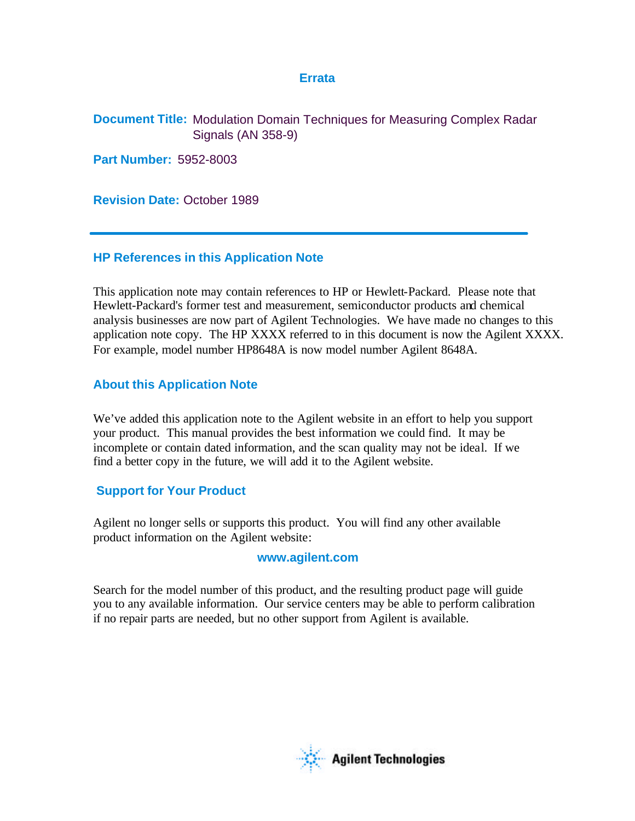## **Errata**

**Document Title:** Modulation Domain Techniques for Measuring Complex Radar Signals (AN 358-9)

**Part Number:** 5952-8003

**Revision Date:** October 1989

# **HP References in this Application Note**

This application note may contain references to HP or Hewlett-Packard. Please note that Hewlett-Packard's former test and measurement, semiconductor products and chemical analysis businesses are now part of Agilent Technologies. We have made no changes to this application note copy. The HP XXXX referred to in this document is now the Agilent XXXX. For example, model number HP8648A is now model number Agilent 8648A.

# **About this Application Note**

We've added this application note to the Agilent website in an effort to help you support your product. This manual provides the best information we could find. It may be incomplete or contain dated information, and the scan quality may not be ideal. If we find a better copy in the future, we will add it to the Agilent website.

# **Support for Your Product**

Agilent no longer sells or supports this product. You will find any other available product information on the Agilent website:

## **www.agilent.com**

Search for the model number of this product, and the resulting product page will guide you to any available information. Our service centers may be able to perform calibration if no repair parts are needed, but no other support from Agilent is available.

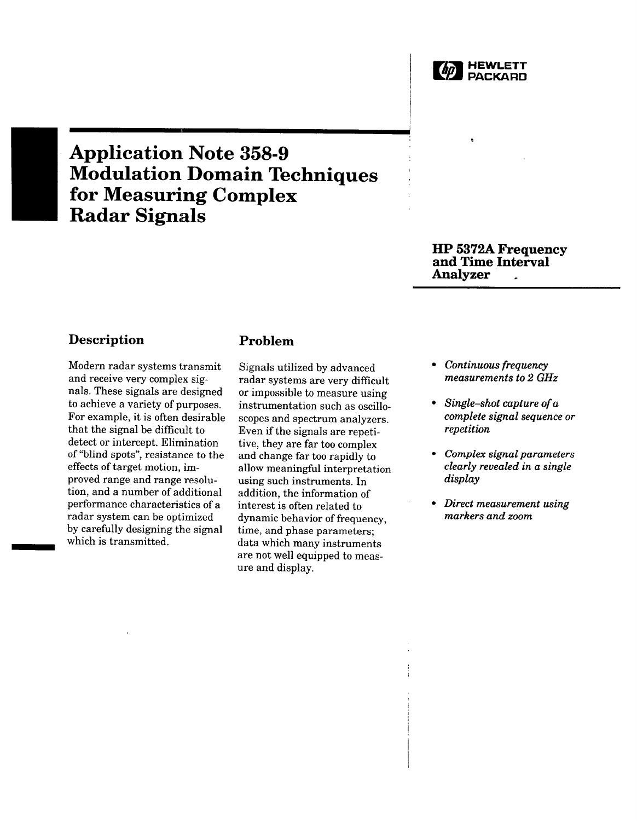

# **Application Note 358-9 Modulation Domain Techniques** for Measuring Complex **Radar Signals**

## **HP 5372A Frequency** and Time Interval Analyzer

# **Description**

Modern radar systems transmit and receive very complex signals. These signals are designed to achieve a variety of purposes. For example, it is often desirable that the signal be difficult to detect or intercept. Elimination of "blind spots", resistance to the effects of target motion, improved range and range resolution, and a number of additional performance characteristics of a radar system can be optimized by carefully designing the signal which is transmitted.

# Problem

Signals utilized by advanced radar systems are very difficult or impossible to measure using instrumentation such as oscilloscopes and spectrum analyzers. Even if the signals are repetitive, they are far too complex and change far too rapidly to allow meaningful interpretation using such instruments. In addition, the information of interest is often related to dynamic behavior of frequency, time, and phase parameters; data which many instruments are not well equipped to measure and display.

- Continuous frequency measurements to 2 GHz
- Single-shot capture of  $a$ complete signal sequence or repetition
- Complex signal parameters clearly revealed in a single display
- Direct measurement using markers and zoom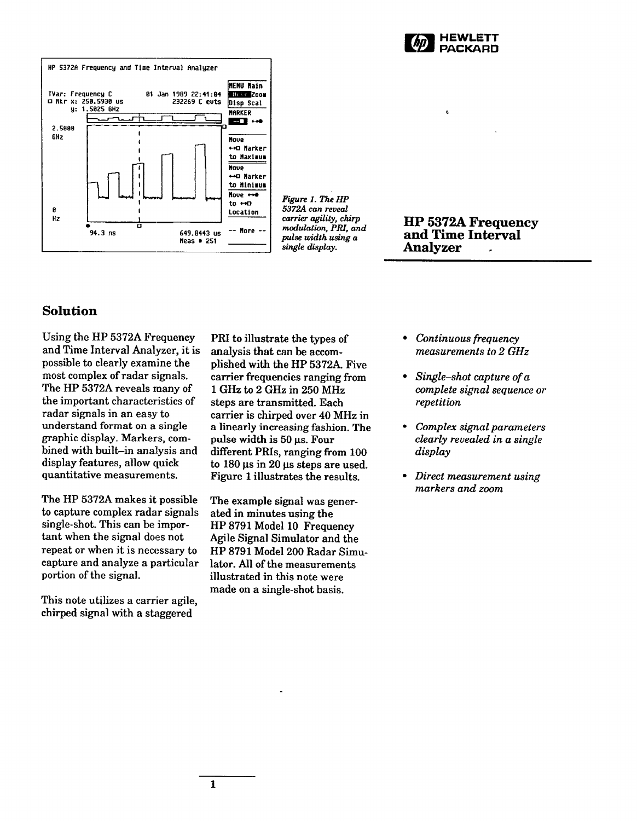

ø



Figure 1. The HP 5372A can reveal carrier agility, chirp modulation, PRI, and pulse width using a single display.

**HP 5372A Frequency** and Time Interval **Analyzer** 

# **Solution**

Using the HP 5372A Frequency and Time Interval Analyzer, it is possible to clearly examine the most complex of radar signals. The HP 5372A reveals many of the important characteristics of radar signals in an easy to understand format on a single graphic display. Markers, combined with built-in analysis and display features, allow quick quantitative measurements.

The HP 5372A makes it possible to capture complex radar signals single-shot. This can be important when the signal does not repeat or when it is necessary to capture and analyze a particular portion of the signal.

This note utilizes a carrier agile. chirped signal with a staggered

PRI to illustrate the types of analysis that can be accomplished with the HP 5372A. Five carrier frequencies ranging from 1 GHz to 2 GHz in 250 MHz steps are transmitted. Each carrier is chirped over 40 MHz in a linearly increasing fashion. The pulse width is 50 µs. Four different PRIs, ranging from 100 to  $180 \,\mu s$  in  $20 \,\mu s$  steps are used. Figure 1 illustrates the results.

The example signal was generated in minutes using the HP 8791 Model 10 Frequency Agile Signal Simulator and the HP 8791 Model 200 Radar Simulator. All of the measurements illustrated in this note were made on a single-shot basis.

- $\bullet$ Continuous frequency measurements to 2 GHz
- Single-shot capture of  $a$ complete signal sequence or repetition
- Complex signal parameters clearly revealed in a single display
- Direct measurement using markers and zoom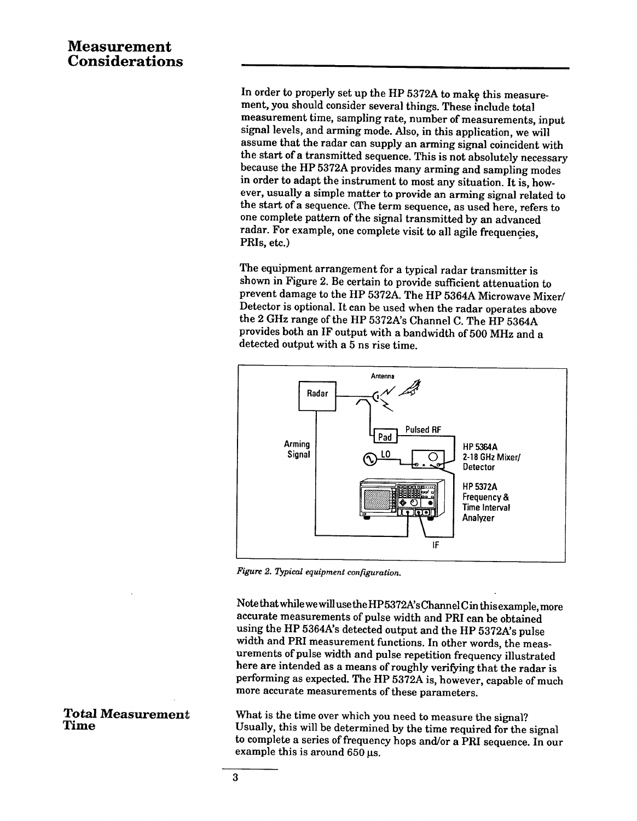# **Measurement Considerations**

In order to properly set up the HP 5372A to make this measurement, you should consider several things. These include total measurement time, sampling rate, number of measurements, input signal levels, and arming mode. Also, in this application, we will assume that the radar can supply an arming signal coincident with the start of a transmitted sequence. This is not absolutely necessary because the HP 5372A provides many arming and sampling modes in order to adapt the instrument to most any situation. It is, however, usually a simple matter to provide an arming signal related to the start of a sequence. (The term sequence, as used here, refers to one complete pattern of the signal transmitted by an advanced radar. For example, one complete visit to all agile frequencies, PRIs, etc.)

The equipment arrangement for a typical radar transmitter is shown in Figure 2. Be certain to provide sufficient attenuation to prevent damage to the HP 5372A. The HP 5364A Microwave Mixer/ Detector is optional. It can be used when the radar operates above the 2 GHz range of the HP 5372A's Channel C. The HP 5364A provides both an IF output with a bandwidth of 500 MHz and a detected output with a 5 ns rise time.



Figure 2. Typical equipment configuration.

Note that while we will use the HP5372A's Channel Cin this example, more accurate measurements of pulse width and PRI can be obtained using the HP 5364A's detected output and the HP 5372A's pulse width and PRI measurement functions. In other words, the measurements of pulse width and pulse repetition frequency illustrated here are intended as a means of roughly verifying that the radar is performing as expected. The HP 5372A is, however, capable of much more accurate measurements of these parameters.

What is the time over which you need to measure the signal? Usually, this will be determined by the time required for the signal to complete a series of frequency hops and/or a PRI sequence. In our example this is around 650 us.

#### **Total Measurement** Time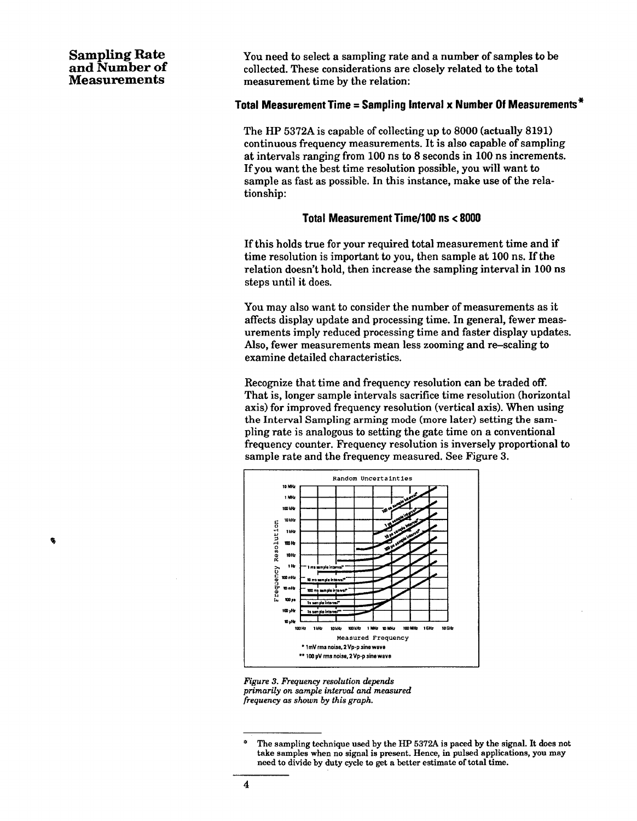# **Sampling Rate** and Number of **Measurements**

¢,

You need to select a sampling rate and a number of samples to be collected. These considerations are closely related to the total measurement time by the relation:

## Total Measurement Time = Sampling Interval x Number Of Measurements  $*$

The HP 5372A is capable of collecting up to 8000 (actually 8191) continuous frequency measurements. It is also capable of sampling at intervals ranging from 100 ns to 8 seconds in 100 ns increments. If you want the best time resolution possible, you will want to sample as fast as possible. In this instance, make use of the relationship:

#### Total Measurement Time/100 ns < 8000

If this holds true for your required total measurement time and if time resolution is important to you, then sample at 100 ns. If the relation doesn't hold, then increase the sampling interval in 100 ns steps until it does.

You may also want to consider the number of measurements as it affects display update and processing time. In general, fewer measurements imply reduced processing time and faster display updates. Also, fewer measurements mean less zooming and re-scaling to examine detailed characteristics.

Recognize that time and frequency resolution can be traded off. That is, longer sample intervals sacrifice time resolution (horizontal axis) for improved frequency resolution (vertical axis). When using the Interval Sampling arming mode (more later) setting the sampling rate is analogous to setting the gate time on a conventional frequency counter. Frequency resolution is inversely proportional to sample rate and the frequency measured. See Figure 3.



Figure 3. Frequency resolution depends primarily on sample interval and measured frequency as shown by this graph.

The sampling technique used by the HP 5372A is paced by the signal. It does not take samples when no signal is present. Hence, in pulsed applications, you may need to divide by duty cycle to get a better estimate of total time.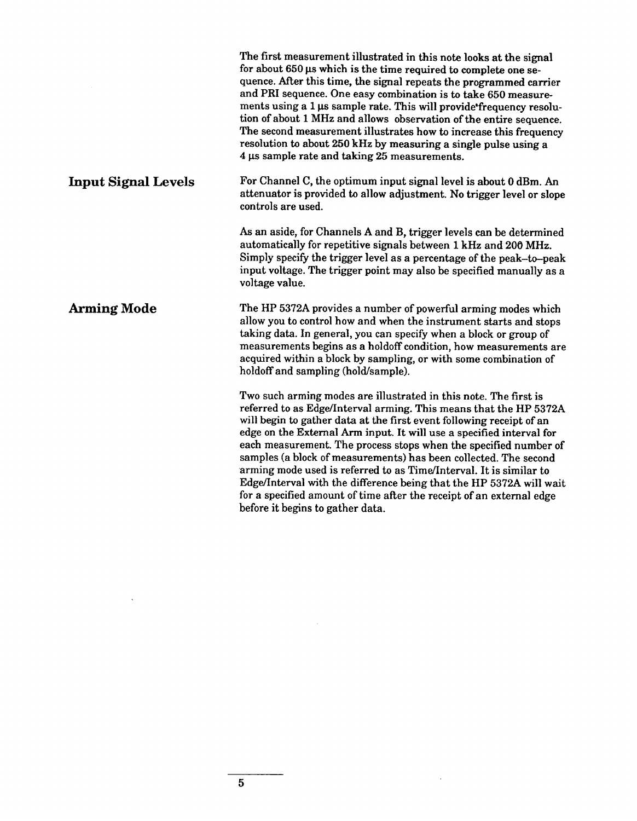|                            | The first measurement illustrated in this note looks at the signal<br>for about 650 µs which is the time required to complete one se-<br>quence. After this time, the signal repeats the programmed carrier<br>and PRI sequence. One easy combination is to take 650 measure-<br>ments using a 1 us sample rate. This will provide frequency resolu-<br>tion of about 1 MHz and allows observation of the entire sequence.<br>The second measurement illustrates how to increase this frequency<br>resolution to about 250 kHz by measuring a single pulse using a<br>4 µs sample rate and taking 25 measurements.                                                                     |  |  |
|----------------------------|----------------------------------------------------------------------------------------------------------------------------------------------------------------------------------------------------------------------------------------------------------------------------------------------------------------------------------------------------------------------------------------------------------------------------------------------------------------------------------------------------------------------------------------------------------------------------------------------------------------------------------------------------------------------------------------|--|--|
| <b>Input Signal Levels</b> | For Channel C, the optimum input signal level is about 0 dBm. An<br>attenuator is provided to allow adjustment. No trigger level or slope<br>controls are used.                                                                                                                                                                                                                                                                                                                                                                                                                                                                                                                        |  |  |
|                            | As an aside, for Channels A and B, trigger levels can be determined<br>automatically for repetitive signals between 1 kHz and 200 MHz.<br>Simply specify the trigger level as a percentage of the peak-to-peak<br>input voltage. The trigger point may also be specified manually as a<br>voltage value.                                                                                                                                                                                                                                                                                                                                                                               |  |  |
| <b>Arming Mode</b>         | The HP 5372A provides a number of powerful arming modes which<br>allow you to control how and when the instrument starts and stops<br>taking data. In general, you can specify when a block or group of<br>measurements begins as a holdoff condition, how measurements are<br>acquired within a block by sampling, or with some combination of<br>holdoff and sampling (hold/sample).                                                                                                                                                                                                                                                                                                 |  |  |
|                            | Two such arming modes are illustrated in this note. The first is<br>referred to as Edge/Interval arming. This means that the HP 5372A<br>will begin to gather data at the first event following receipt of an<br>edge on the External Arm input. It will use a specified interval for<br>each measurement. The process stops when the specified number of<br>samples (a block of measurements) has been collected. The second<br>arming mode used is referred to as Time/Interval. It is similar to<br>Edge/Interval with the difference being that the HP 5372A will wait<br>for a specified amount of time after the receipt of an external edge<br>before it begins to gather data. |  |  |

 $\label{eq:2.1} \frac{1}{\sqrt{2}}\left(\frac{1}{\sqrt{2}}\right)^{2} \left(\frac{1}{\sqrt{2}}\right)^{2} \left(\frac{1}{\sqrt{2}}\right)^{2} \left(\frac{1}{\sqrt{2}}\right)^{2} \left(\frac{1}{\sqrt{2}}\right)^{2} \left(\frac{1}{\sqrt{2}}\right)^{2} \left(\frac{1}{\sqrt{2}}\right)^{2} \left(\frac{1}{\sqrt{2}}\right)^{2} \left(\frac{1}{\sqrt{2}}\right)^{2} \left(\frac{1}{\sqrt{2}}\right)^{2} \left(\frac{1}{\sqrt{2}}\right)^{2} \left(\$ 

 $\mathcal{L}(\mathcal{A})$  .

 $\mathcal{L}(\mathcal{L}(\mathcal{L}))$  . The set of  $\mathcal{L}(\mathcal{L})$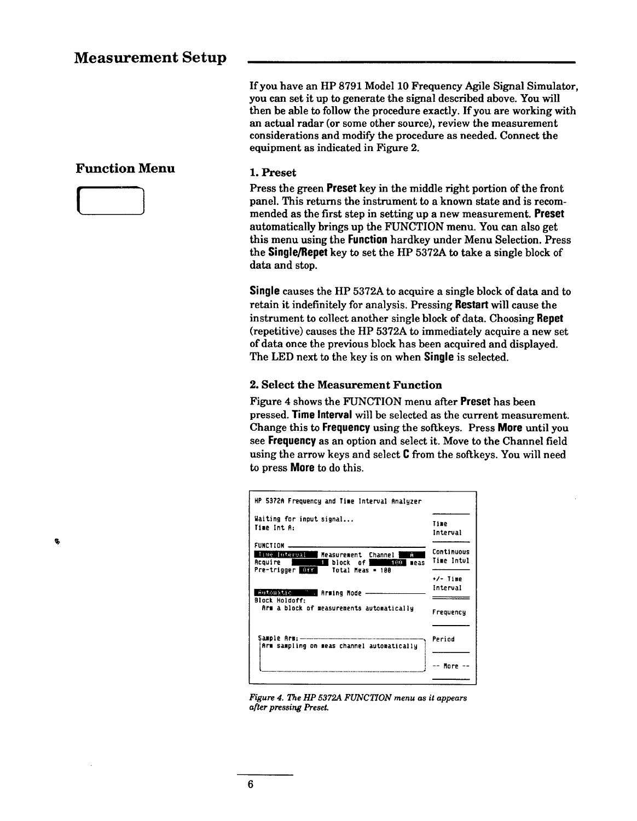#### If you have an HP 8791 Model 10 Frequency Agile Signal Simulator, you can set it up to generate the signal described above. You will then be able to follow the procedure exactly. If you are working with an actual radar (or some other source), review the measurement considerations and modify the procedure as needed. Connect the equipment as indicated in Figure 2.

#### 1. Preset

Press the green Preset key in the middle right portion of the front panel. This returns the instrument to a known state and is recommended as the first step in setting up a new measurement. Preset automatically brings up the FUNCTION menu. You can also get this menu using the **Function** hardkey under Menu Selection. Press the Single/Repet key to set the HP 5372A to take a single block of data and stop.

Single causes the HP 5372A to acquire a single block of data and to retain it indefinitely for analysis. Pressing Restart will cause the instrument to collect another single block of data. Choosing Repet (repetitive) causes the HP 5372A to immediately acquire a new set of data once the previous block has been acquired and displayed. The LED next to the key is on when Single is selected.

#### 2. Select the Measurement Function

Figure 4 shows the FUNCTION menu after Preset has been pressed. Time Interval will be selected as the current measurement. Change this to Frequency using the softkeys. Press More until you see Frequency as an option and select it. Move to the Channel field using the arrow keys and select C from the softkeys. You will need to press **More** to do this.

| HP 5372A Frequency and Time Interval Analyzer                                                                                                                                    |                          |
|----------------------------------------------------------------------------------------------------------------------------------------------------------------------------------|--------------------------|
| Waiting for input signal<br>Time Int A:                                                                                                                                          | Time<br>Interval         |
| <b>FUNCTION</b> _____<br>Time Interval<br>Ĥ<br>Measurement Channel<br>Acquire  <br>█block of!<br>$100 - 100$<br>meas<br><u>e de la compa</u><br>Pre-trigger USS Total Meas = 100 | Continuous<br>Time Intul |
| Automatic <b>Communis</b> Arming Mode --<br><b>Block Holdoff:</b>                                                                                                                | +/- Time<br>Interual     |
| Arm a block of measurements automatically                                                                                                                                        | <b>Frequency</b>         |
| Arm sampling on meas channel automatically                                                                                                                                       | Period                   |
|                                                                                                                                                                                  | More                     |

Figure 4. The HP 5372A FUNCTION menu as it appears after pressing Preset.

# **Function Menu**



Ŷ,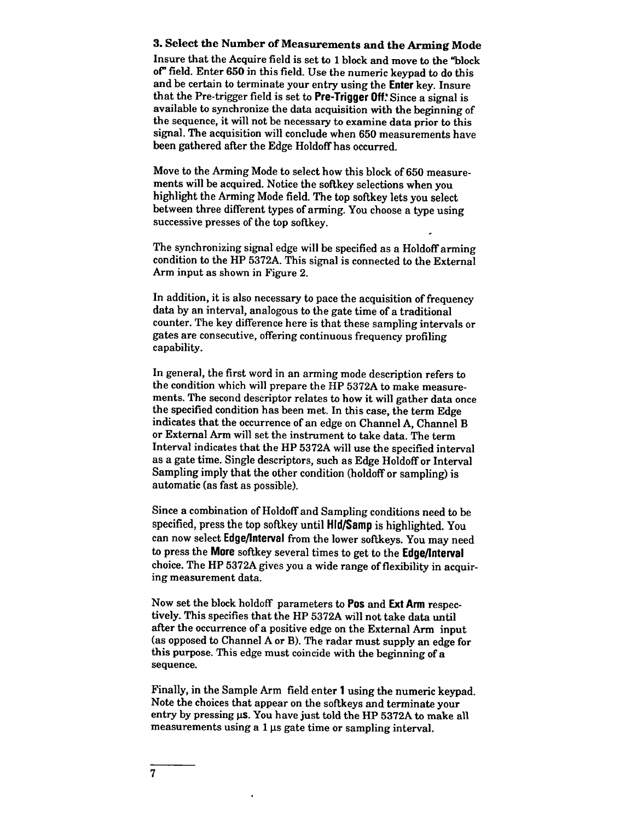#### 3. Select the Number of Measurements and the Arming Mode

Insure that the Acquire field is set to 1 block and move to the "block of" field. Enter 650 in this field. Use the numeric keypad to do this and be certain to terminate your entry using the Enter key. Insure that the Pre-trigger field is set to Pre-Trigger Off. Since a signal is available to synchronize the data acquisition with the beginning of the sequence, it will not be necessary to examine data prior to this signal. The acquisition will conclude when 650 measurements have been gathered after the Edge Holdoff has occurred.

Move to the Arming Mode to select how this block of 650 measurements will be acquired. Notice the softkey selections when you highlight the Arming Mode field. The top softkey lets you select between three different types of arming. You choose a type using successive presses of the top softkey.

The synchronizing signal edge will be specified as a Holdoff arming condition to the HP 5372A. This signal is connected to the External Arm input as shown in Figure 2.

In addition, it is also necessary to pace the acquisition of frequency data by an interval, analogous to the gate time of a traditional counter. The key difference here is that these sampling intervals or gates are consecutive, offering continuous frequency profiling capability.

In general, the first word in an arming mode description refers to the condition which will prepare the HP 5372A to make measurements. The second descriptor relates to how it will gather data once the specified condition has been met. In this case, the term Edge indicates that the occurrence of an edge on Channel A, Channel B or External Arm will set the instrument to take data. The term Interval indicates that the HP 5372A will use the specified interval as a gate time. Single descriptors, such as Edge Holdoff or Interval Sampling imply that the other condition (holdoff or sampling) is automatic (as fast as possible).

Since a combination of Holdoff and Sampling conditions need to be specified, press the top softkey until HId/Samp is highlighted. You can now select Edge/Interval from the lower softkeys. You may need to press the More softkey several times to get to the Edge/Interval choice. The HP 5372A gives you a wide range of flexibility in acquiring measurement data.

Now set the block holdoff parameters to **Pos** and **Ext Arm** respectively. This specifies that the HP 5372A will not take data until after the occurrence of a positive edge on the External Arm input (as opposed to Channel A or B). The radar must supply an edge for this purpose. This edge must coincide with the beginning of a sequence.

Finally, in the Sample Arm field enter 1 using the numeric keypad. Note the choices that appear on the softkeys and terminate your entry by pressing us. You have just told the HP 5372A to make all measurements using a 1 us gate time or sampling interval.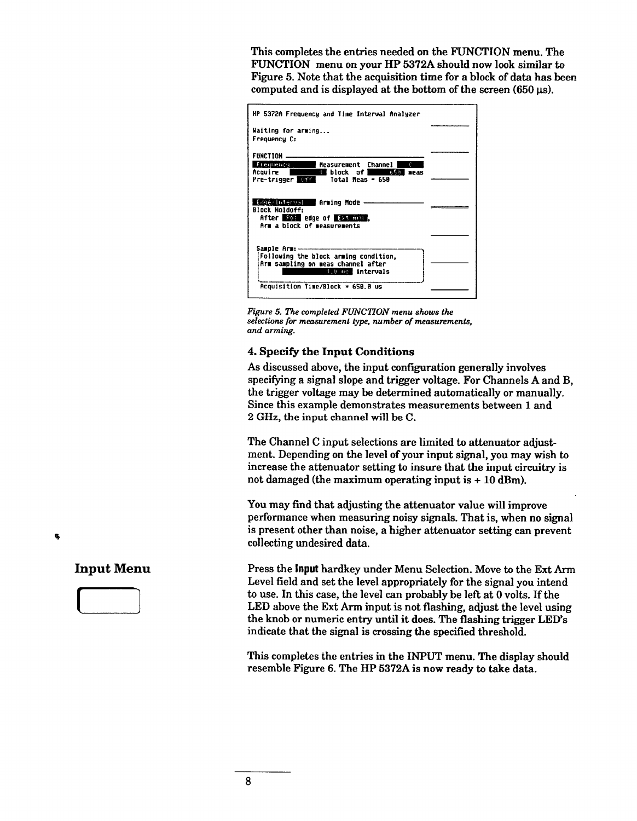This completes the entries needed on the FUNCTION menu. The FUNCTION menu on your HP 5372A should now look similar to Figure 5. Note that the acquisition time for a block of data has been computed and is displayed at the bottom of the screen (650 us).



Figure 5. The completed FUNCTION menu shows the selections for measurement type, number of measurements, and arming.

#### 4. Specify the Input Conditions

As discussed above, the input configuration generally involves specifying a signal slope and trigger voltage. For Channels A and B, the trigger voltage may be determined automatically or manually. Since this example demonstrates measurements between 1 and 2 GHz, the input channel will be C.

The Channel C input selections are limited to attenuator adjustment. Depending on the level of your input signal, you may wish to increase the attenuator setting to insure that the input circuitry is not damaged (the maximum operating input is  $+10$  dBm).

You may find that adjusting the attenuator value will improve performance when measuring noisy signals. That is, when no signal is present other than noise, a higher attenuator setting can prevent collecting undesired data.

Press the Input hardkey under Menu Selection. Move to the Ext Arm Level field and set the level appropriately for the signal you intend to use. In this case, the level can probably be left at 0 volts. If the LED above the Ext Arm input is not flashing, adjust the level using the knob or numeric entry until it does. The flashing trigger LED's indicate that the signal is crossing the specified threshold.

This completes the entries in the INPUT menu. The display should resemble Figure 6. The HP 5372A is now ready to take data.

**Input Menu** 

٩

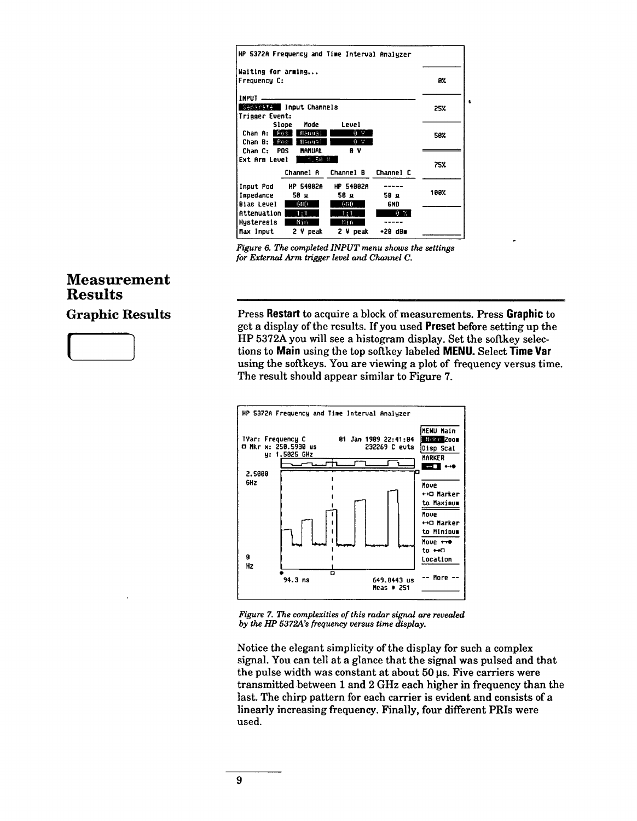| HP 5372A Frequency and Time Interval Analyzer |                  |                  |           |      |  |  |
|-----------------------------------------------|------------------|------------------|-----------|------|--|--|
| Waiting for arming                            |                  |                  |           |      |  |  |
| Frequency C:                                  |                  |                  |           | 8%   |  |  |
| <b>INPUT</b>                                  |                  |                  |           |      |  |  |
| Separate Input Channels                       | 25%              |                  |           |      |  |  |
| Trigger Event:                                |                  |                  |           |      |  |  |
| Slope                                         | Mode             | Level            |           |      |  |  |
| Chan A: Etter                                 | Handal           | 0 V              |           | 58%  |  |  |
| Chan B: 1 Fos                                 | Meropal          | 0. V.            |           |      |  |  |
| Chan C: POS                                   | <b>MANUAL</b>    | θV               |           |      |  |  |
| Ext Arm Level                                 | 75%              |                  |           |      |  |  |
|                                               | Channel A        | Channel B        | Channel C |      |  |  |
| Input Pod                                     | <b>HP 54882A</b> | <b>HP 54882A</b> |           |      |  |  |
| Impedance                                     | 58 я             | 58 Q             | 50 д      | 108% |  |  |
| <b>Bias Level</b>                             | 600              | 600              | 6ND.      |      |  |  |
| Attenuation                                   | 1:1              | 1:1              | 真菌        |      |  |  |
| Husteresis                                    | Nin              | 11 i n           |           |      |  |  |
| Max Input                                     | $2 V$ peak       | 2 V peak         | +20 dBm   |      |  |  |

Figure 6. The completed INPUT menu shows the settings for External Arm trigger level and Channel C.

# **Measurement Results**

**Graphic Results** 

Press Restart to acquire a block of measurements. Press Graphic to get a display of the results. If you used **Preset** before setting up the HP 5372A you will see a histogram display. Set the softkey selections to Main using the top softkey labeled MENU. Select Time Var using the softkeys. You are viewing a plot of frequency versus time. The result should appear similar to Figure 7.



Figure 7. The complexities of this radar signal are revealed by the HP 5372A's frequency versus time display.

Notice the elegant simplicity of the display for such a complex signal. You can tell at a glance that the signal was pulsed and that the pulse width was constant at about 50 µs. Five carriers were transmitted between 1 and 2 GHz each higher in frequency than the last. The chirp pattern for each carrier is evident and consists of a linearly increasing frequency. Finally, four different PRIs were used.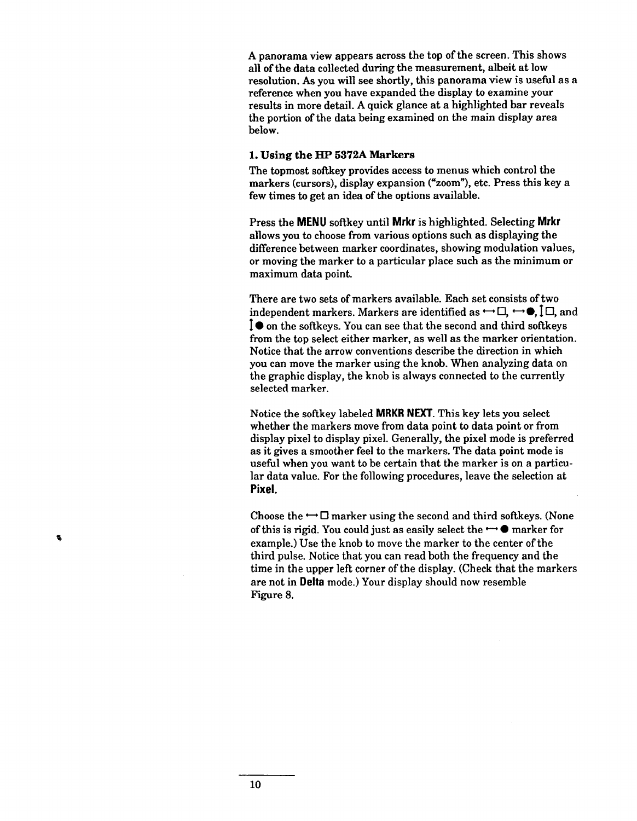A panorama view appears across the top of the screen. This shows all of the data collected during the measurement, albeit at low resolution. As you will see shortly, this panorama view is useful as a reference when you have expanded the display to examine your results in more detail. A quick glance at a highlighted bar reveals the portion of the data being examined on the main display area below.

#### 1. Using the HP 5372A Markers

The topmost softkey provides access to menus which control the markers (cursors), display expansion ("zoom"), etc. Press this key a few times to get an idea of the options available.

Press the MENU softkey until Mrkr is highlighted. Selecting Mrkr allows you to choose from various options such as displaying the difference between marker coordinates, showing modulation values, or moving the marker to a particular place such as the minimum or maximum data point.

There are two sets of markers available. Each set consists of two independent markers. Markers are identified as  $\leftrightarrow \Box$ ,  $\leftrightarrow \bullet$ ,  $\Box$  and I ● on the softkeys. You can see that the second and third softkeys from the top select either marker, as well as the marker orientation. Notice that the arrow conventions describe the direction in which you can move the marker using the knob. When analyzing data on the graphic display, the knob is always connected to the currently selected marker.

Notice the softkey labeled MRKR NEXT. This key lets you select whether the markers move from data point to data point or from display pixel to display pixel. Generally, the pixel mode is preferred as it gives a smoother feel to the markers. The data point mode is useful when you want to be certain that the marker is on a particular data value. For the following procedures, leave the selection at Pixel.

Choose the  $\rightarrow \square$  marker using the second and third softkeys. (None of this is rigid. You could just as easily select the  $\leftrightarrow \bullet$  marker for example.) Use the knob to move the marker to the center of the third pulse. Notice that you can read both the frequency and the time in the upper left corner of the display. (Check that the markers are not in Delta mode.) Your display should now resemble Figure 8.

¢,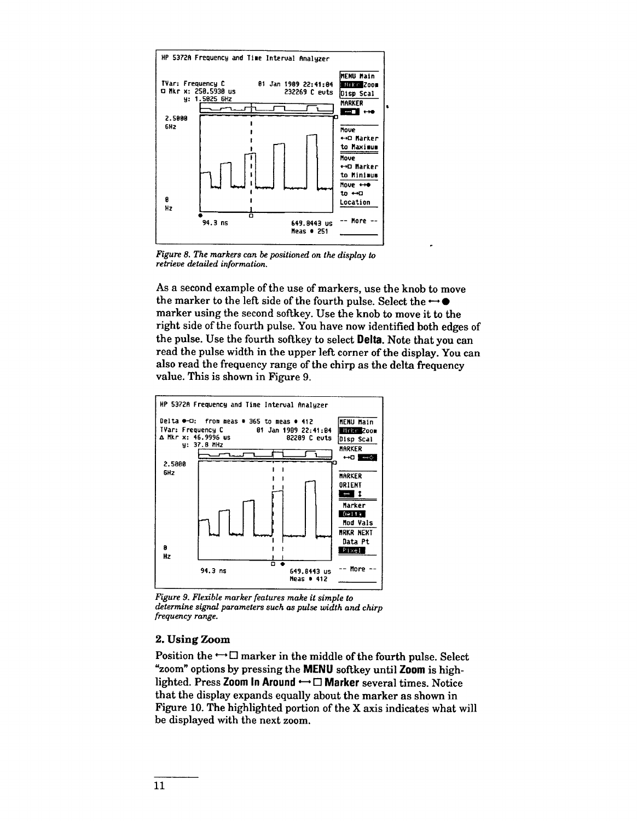

Figure 8. The markers can be positioned on the display to retrieve detailed information.

As a second example of the use of markers, use the knob to move the marker to the left side of the fourth pulse. Select the  $\leftrightarrow \bullet$ marker using the second softkey. Use the knob to move it to the right side of the fourth pulse. You have now identified both edges of the pulse. Use the fourth softkey to select Delta. Note that you can read the pulse width in the upper left corner of the display. You can also read the frequency range of the chirp as the delta frequency value. This is shown in Figure 9.



Figure 9. Flexible marker features make it simple to determine signal parameters such as pulse width and chirp frequency range.

#### 2. Using Zoom

Position the  $\rightarrow \square$  marker in the middle of the fourth pulse. Select "zoom" options by pressing the MENU softkey until Zoom is highlighted. Press Zoom In Around  $\rightarrow \Box$  Marker several times. Notice that the display expands equally about the marker as shown in Figure 10. The highlighted portion of the X axis indicates what will be displayed with the next zoom.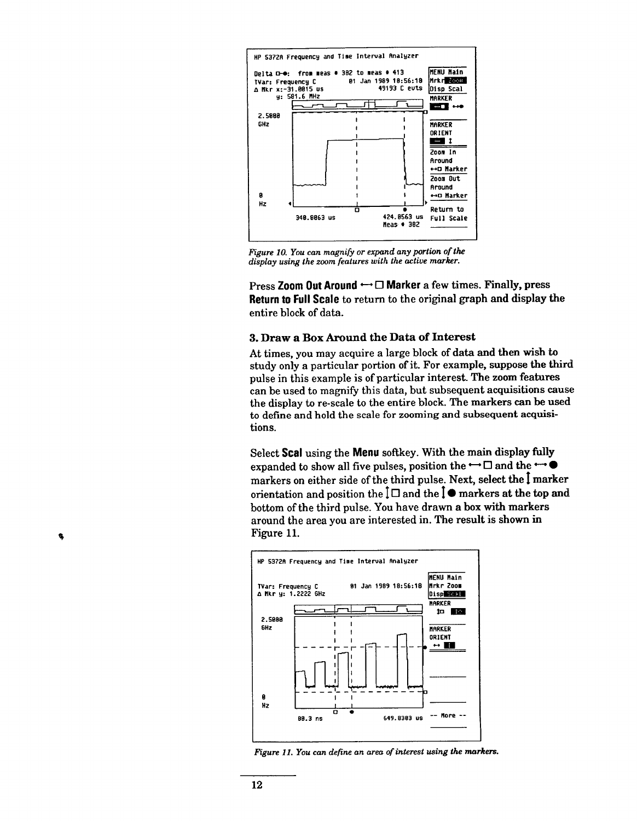

Figure 10. You can magnify or expand any portion of the display using the zoom features with the active marker.

Press Zoom Out Around ← □ Marker a few times. Finally, press Return to Full Scale to return to the original graph and display the entire block of data.

#### 3. Draw a Box Around the Data of Interest

At times, you may acquire a large block of data and then wish to study only a particular portion of it. For example, suppose the third pulse in this example is of particular interest. The zoom features can be used to magnify this data, but subsequent acquisitions cause the display to re-scale to the entire block. The markers can be used to define and hold the scale for zooming and subsequent acquisitions.

Select Scal using the Menu softkey. With the main display fully expanded to show all five pulses, position the  $\leftrightarrow \Box$  and the  $\leftrightarrow \bullet$ markers on either side of the third pulse. Next, select the I marker orientation and position the  $\Box$  and the  $\Box$  markers at the top and bottom of the third pulse. You have drawn a box with markers around the area you are interested in. The result is shown in Figure 11.



Figure 11. You can define an area of interest using the markers.

۹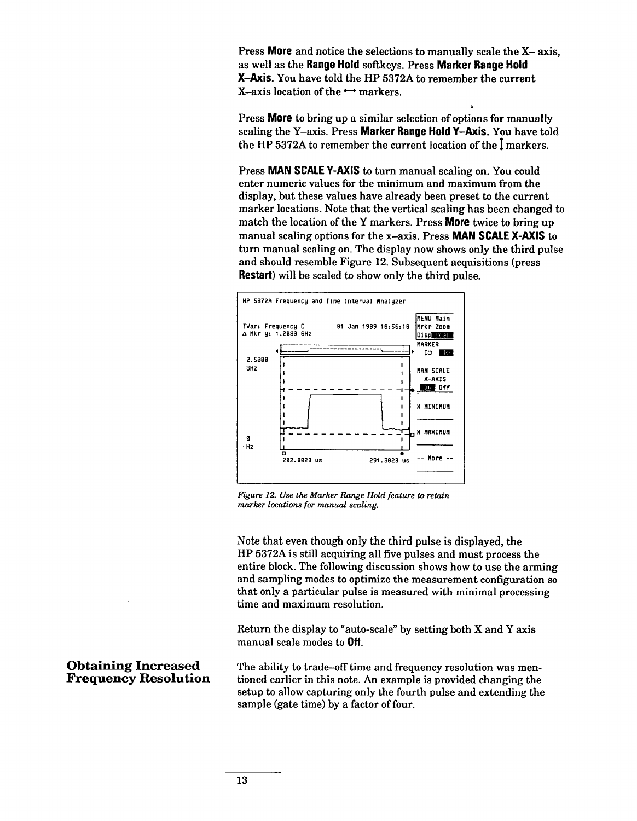Press More and notice the selections to manually scale the X-axis, as well as the Range Hold softkeys. Press Marker Range Hold X-Axis. You have told the HP 5372A to remember the current X-axis location of the  $\leftrightarrow$  markers.

Press **More** to bring up a similar selection of options for manually scaling the Y-axis. Press Marker Range Hold Y-Axis. You have told the HP 5372A to remember the current location of the I markers.

Press MAN SCALE Y-AXIS to turn manual scaling on. You could enter numeric values for the minimum and maximum from the display, but these values have already been preset to the current marker locations. Note that the vertical scaling has been changed to match the location of the Y markers. Press **More** twice to bring up manual scaling options for the x-axis. Press **MAN SCALE X-AXIS** to turn manual scaling on. The display now shows only the third pulse and should resemble Figure 12. Subsequent acquisitions (press **Restart**) will be scaled to show only the third pulse.



Figure 12. Use the Marker Range Hold feature to retain marker locations for manual scaling.

Note that even though only the third pulse is displayed, the HP 5372A is still acquiring all five pulses and must process the entire block. The following discussion shows how to use the arming and sampling modes to optimize the measurement configuration so that only a particular pulse is measured with minimal processing time and maximum resolution.

Return the display to "auto-scale" by setting both X and Y axis manual scale modes to Off.

The ability to trade-off time and frequency resolution was mentioned earlier in this note. An example is provided changing the setup to allow capturing only the fourth pulse and extending the sample (gate time) by a factor of four.

#### **Obtaining Increased Frequency Resolution**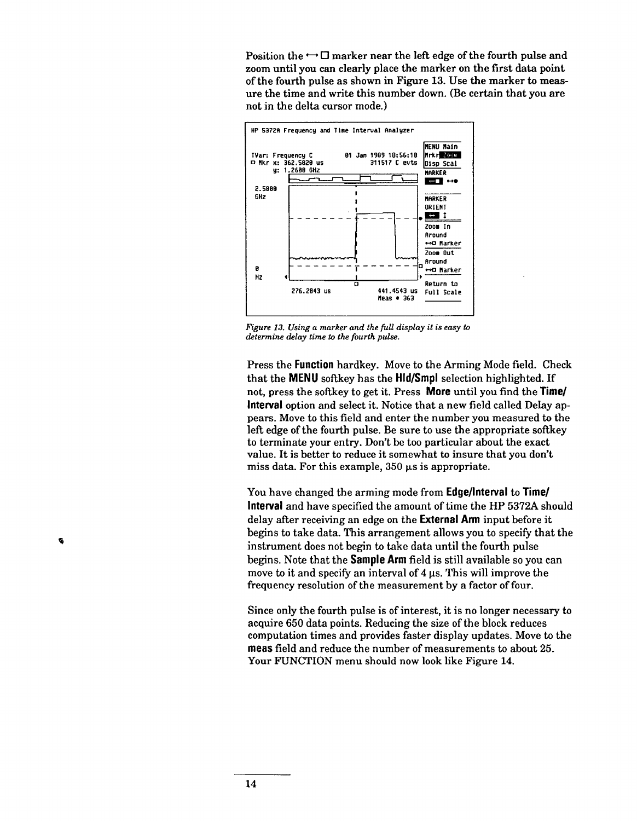Position the  $\leftarrow \square$  marker near the left edge of the fourth pulse and zoom until you can clearly place the marker on the first data point of the fourth pulse as shown in Figure 13. Use the marker to measure the time and write this number down. (Be certain that you are not in the delta cursor mode.)



Figure 13. Using a marker and the full display it is easy to determine delay time to the fourth pulse.

Press the Function hardkey. Move to the Arming Mode field. Check that the MENU softkey has the HId/Smpl selection highlighted. If not, press the softkey to get it. Press **More** until you find the **Time/** Interval option and select it. Notice that a new field called Delay appears. Move to this field and enter the number you measured to the left edge of the fourth pulse. Be sure to use the appropriate softkey to terminate your entry. Don't be too particular about the exact value. It is better to reduce it somewhat to insure that you don't miss data. For this example,  $350 \mu s$  is appropriate.

You have changed the arming mode from Edge/Interval to Time/ Interval and have specified the amount of time the HP 5372A should delay after receiving an edge on the External Arm input before it begins to take data. This arrangement allows you to specify that the instrument does not begin to take data until the fourth pulse begins. Note that the **Sample Arm** field is still available so you can move to it and specify an interval of 4 us. This will improve the frequency resolution of the measurement by a factor of four.

Since only the fourth pulse is of interest, it is no longer necessary to acquire 650 data points. Reducing the size of the block reduces computation times and provides faster display updates. Move to the meas field and reduce the number of measurements to about 25. Your FUNCTION menu should now look like Figure 14.

 $\bullet$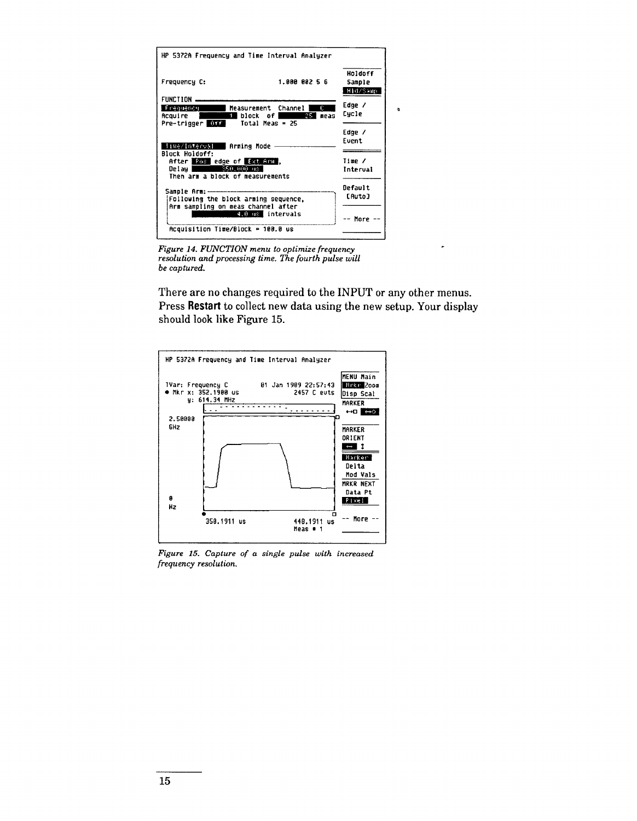| HP 5372A Frequency and Time Interval Analyzer                                                                                     |                               |
|-----------------------------------------------------------------------------------------------------------------------------------|-------------------------------|
| 1.800 082 5 6<br>Frequency C:                                                                                                     | Holdoff<br>Sample<br>Hid/Samp |
| FUNCTION -<br>Ū.<br>Frequency Measurement Channel<br>25.<br>meas<br>i block of I<br>Acauire I<br>Pre-trigger DEXT Total Meas = 25 | Edge /<br>Cycle               |
| Time/interval Rrming Mode -                                                                                                       | Edge /<br>Event               |
| <b>Block Holdoff:</b><br>After For edge of Ext And,<br>350.000 08<br>Delau I<br>Then arm a block of measurements                  | Time /<br>Interval            |
| Following the block arming sequence,<br>Arm sampling on meas channel after                                                        | Default<br><b>CAuto</b>       |
| 4.0 us intervals<br>$Acouisttion Time/Block = 100.0 w$                                                                            | More                          |

Figure 14. FUNCTION menu to optimize frequency resolution and processing time. The fourth pulse will be captured.

There are no changes required to the INPUT or any other menus. Press Restart to collect new data using the new setup. Your display should look like Figure 15.

 $\ddot{\phantom{a}}$ 



Figure 15. Capture of a single pulse with increased frequency resolution.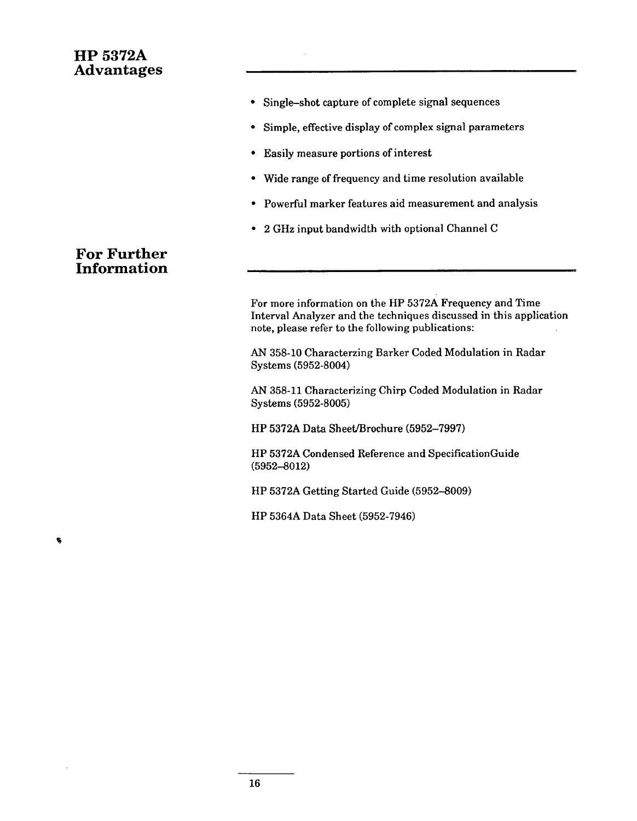# **HP 5372A Advantages**

- Single-shot capture of complete signal sequences
- Simple, effective display of complex signal parameters
- Easily measure portions of interest
- Wide range of frequency and time resolution available  $\bullet$
- Powerful marker features aid measurement and analysis
- 2 GHz input bandwidth with optional Channel C

# **For Further Information**

For more information on the HP 5372A Frequency and Time Interval Analyzer and the techniques discussed in this application note, please refer to the following publications:

AN 358-10 Characterzing Barker Coded Modulation in Radar Systems (5952-8004)

AN 358-11 Characterizing Chirp Coded Modulation in Radar Systems (5952-8005)

HP 5372A Data Sheet/Brochure (5952-7997)

HP 5372A Condensed Reference and SpecificationGuide  $(5952 - 8012)$ 

HP 5372A Getting Started Guide (5952-8009)

HP 5364A Data Sheet (5952-7946)